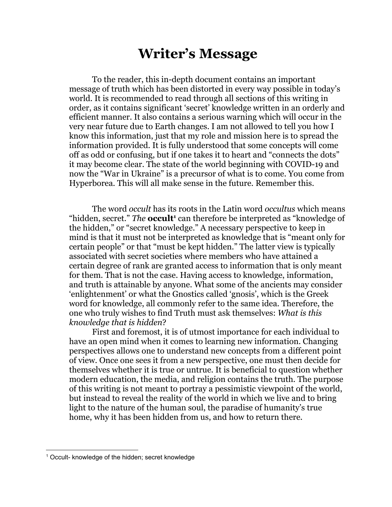# **Writer's Message**

To the reader, this in-depth document contains an important message of truth which has been distorted in every way possible in today's world. It is recommended to read through all sections of this writing in order, as it contains significant 'secret' knowledge written in an orderly and efficient manner. It also contains a serious warning which will occur in the very near future due to Earth changes. I am not allowed to tell you how I know this information, just that my role and mission here is to spread the information provided. It is fully understood that some concepts will come off as odd or confusing, but if one takes it to heart and "connects the dots" it may become clear. The state of the world beginning with COVID-19 and now the "War in Ukraine" is a precursor of what is to come. You come from Hyperborea. This will all make sense in the future. Remember this.

The word *occult* has its roots in the Latin word *occultus* which means "hidden, secret." *The* **occult <sup>1</sup>** can therefore be interpreted as "knowledge of the hidden," or "secret knowledge." A necessary perspective to keep in mind is that it must not be interpreted as knowledge that is "meant only for certain people" or that "must be kept hidden." The latter view is typically associated with secret societies where members who have attained a certain degree of rank are granted access to information that is only meant for them. That is not the case. Having access to knowledge, information, and truth is attainable by anyone. What some of the ancients may consider 'enlightenment' or what the Gnostics called 'gnosis', which is the Greek word for knowledge, all commonly refer to the same idea. Therefore, the one who truly wishes to find Truth must ask themselves: *What is this knowledge that is hidden*?

First and foremost, it is of utmost importance for each individual to have an open mind when it comes to learning new information. Changing perspectives allows one to understand new concepts from a different point of view. Once one sees it from a new perspective, one must then decide for themselves whether it is true or untrue. It is beneficial to question whether modern education, the media, and religion contains the truth. The purpose of this writing is not meant to portray a pessimistic viewpoint of the world, but instead to reveal the reality of the world in which we live and to bring light to the nature of the human soul, the paradise of humanity's true home, why it has been hidden from us, and how to return there.

<sup>&</sup>lt;sup>1</sup> Occult- knowledge of the hidden; secret knowledge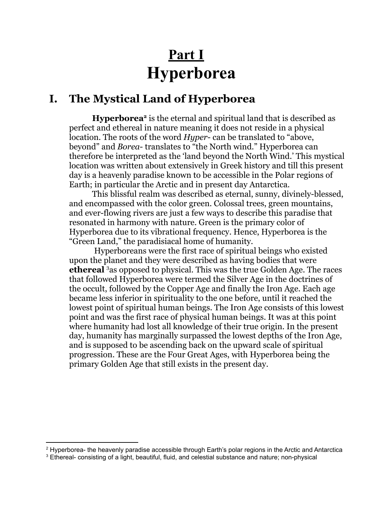# **Part I Hyperborea**

# **I. The Mystical Land of Hyperborea**

Hyperborea<sup>2</sup> is the eternal and spiritual land that is described as perfect and ethereal in nature meaning it does not reside in a physical location. The roots of the word *Hyper*- can be translated to "above, beyond" and *Borea*- translates to "the North wind." Hyperborea can therefore be interpreted as the 'land beyond the North Wind.' This mystical location was written about extensively in Greek history and till this present day is a heavenly paradise known to be accessible in the Polar regions of Earth; in particular the Arctic and in present day Antarctica.

This blissful realm was described as eternal, sunny, divinely-blessed, and encompassed with the color green. Colossal trees, green mountains, and ever-flowing rivers are just a few ways to describe this paradise that resonated in harmony with nature. Green is the primary color of Hyperborea due to its vibrational frequency. Hence, Hyperborea is the "Green Land," the paradisiacal home of humanity.

Hyperboreans were the first race of spiritual beings who existed upon the planet and they were described as having bodies that were **ethereal** <sup>3</sup>as opposed to physical. This was the true Golden Age. The races that followed Hyperborea were termed the Silver Age in the doctrines of the occult, followed by the Copper Age and finally the Iron Age. Each age became less inferior in spirituality to the one before, until it reached the lowest point of spiritual human beings. The Iron Age consists of this lowest point and was the first race of physical human beings. It was at this point where humanity had lost all knowledge of their true origin. In the present day, humanity has marginally surpassed the lowest depths of the Iron Age, and is supposed to be ascending back on the upward scale of spiritual progression. These are the Four Great Ages, with Hyperborea being the primary Golden Age that still exists in the present day.

<sup>&</sup>lt;sup>2</sup> Hyperborea- the heavenly paradise accessible through Earth's polar regions in the Arctic and Antarctica

<sup>&</sup>lt;sup>3</sup> Ethereal- consisting of a light, beautiful, fluid, and celestial substance and nature; non-physical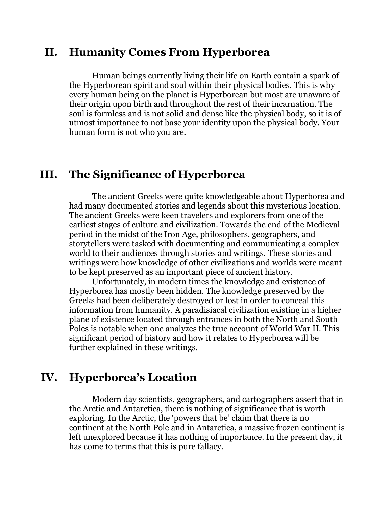#### **II. Humanity Comes From Hyperborea**

Human beings currently living their life on Earth contain a spark of the Hyperborean spirit and soul within their physical bodies. This is why every human being on the planet is Hyperborean but most are unaware of their origin upon birth and throughout the rest of their incarnation. The soul is formless and is not solid and dense like the physical body, so it is of utmost importance to not base your identity upon the physical body. Your human form is not who you are.

## **III. The Significance of Hyperborea**

The ancient Greeks were quite knowledgeable about Hyperborea and had many documented stories and legends about this mysterious location. The ancient Greeks were keen travelers and explorers from one of the earliest stages of culture and civilization. Towards the end of the Medieval period in the midst of the Iron Age, philosophers, geographers, and storytellers were tasked with documenting and communicating a complex world to their audiences through stories and writings. These stories and writings were how knowledge of other civilizations and worlds were meant to be kept preserved as an important piece of ancient history.

Unfortunately, in modern times the knowledge and existence of Hyperborea has mostly been hidden. The knowledge preserved by the Greeks had been deliberately destroyed or lost in order to conceal this information from humanity. A paradisiacal civilization existing in a higher plane of existence located through entrances in both the North and South Poles is notable when one analyzes the true account of World War II. This significant period of history and how it relates to Hyperborea will be further explained in these writings.

## **IV. Hyperborea's Location**

Modern day scientists, geographers, and cartographers assert that in the Arctic and Antarctica, there is nothing of significance that is worth exploring. In the Arctic, the 'powers that be' claim that there is no continent at the North Pole and in Antarctica, a massive frozen continent is left unexplored because it has nothing of importance. In the present day, it has come to terms that this is pure fallacy.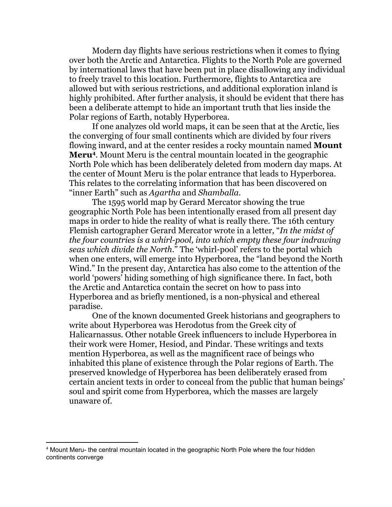Modern day flights have serious restrictions when it comes to flying over both the Arctic and Antarctica. Flights to the North Pole are governed by international laws that have been put in place disallowing any individual to freely travel to this location. Furthermore, flights to Antarctica are allowed but with serious restrictions, and additional exploration inland is highly prohibited. After further analysis, it should be evident that there has been a deliberate attempt to hide an important truth that lies inside the Polar regions of Earth, notably Hyperborea.

If one analyzes old world maps, it can be seen that at the Arctic, lies the converging of four small continents which are divided by four rivers flowing inward, and at the center resides a rocky mountain named **Mount Meru 4** . Mount Meru is the central mountain located in the geographic North Pole which has been deliberately deleted from modern day maps. At the center of Mount Meru is the polar entrance that leads to Hyperborea. This relates to the correlating information that has been discovered on "inner Earth" such as *Agartha* and *Shamballa.*

The 1595 world map by Gerard Mercator showing the true geographic North Pole has been intentionally erased from all present day maps in order to hide the reality of what is really there. The 16th century Flemish cartographer Gerard Mercator wrote in a letter, "*In the midst of the four countries is a whirl-pool, into which empty these four indrawing seas which divide the North*." The 'whirl-pool' refers to the portal which when one enters, will emerge into Hyperborea, the "land beyond the North Wind." In the present day, Antarctica has also come to the attention of the world 'powers' hiding something of high significance there. In fact, both the Arctic and Antarctica contain the secret on how to pass into Hyperborea and as briefly mentioned, is a non-physical and ethereal paradise.

One of the known documented Greek historians and geographers to write about Hyperborea was Herodotus from the Greek city of Halicarnassus. Other notable Greek influencers to include Hyperborea in their work were Homer, Hesiod, and Pindar. These writings and texts mention Hyperborea, as well as the magnificent race of beings who inhabited this plane of existence through the Polar regions of Earth. The preserved knowledge of Hyperborea has been deliberately erased from certain ancient texts in order to conceal from the public that human beings' soul and spirit come from Hyperborea, which the masses are largely unaware of.

<sup>4</sup> Mount Meru- the central mountain located in the geographic North Pole where the four hidden continents converge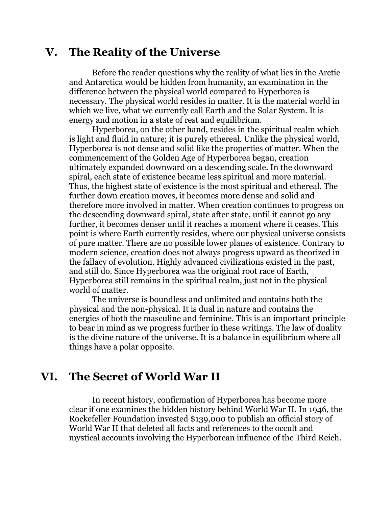#### **V. The Reality of the Universe**

Before the reader questions why the reality of what lies in the Arctic and Antarctica would be hidden from humanity, an examination in the difference between the physical world compared to Hyperborea is necessary. The physical world resides in matter. It is the material world in which we live, what we currently call Earth and the Solar System. It is energy and motion in a state of rest and equilibrium.

Hyperborea, on the other hand, resides in the spiritual realm which is light and fluid in nature; it is purely ethereal. Unlike the physical world, Hyperborea is not dense and solid like the properties of matter. When the commencement of the Golden Age of Hyperborea began, creation ultimately expanded downward on a descending scale. In the downward spiral, each state of existence became less spiritual and more material. Thus, the highest state of existence is the most spiritual and ethereal. The further down creation moves, it becomes more dense and solid and therefore more involved in matter. When creation continues to progress on the descending downward spiral, state after state, until it cannot go any further, it becomes denser until it reaches a moment where it ceases. This point is where Earth currently resides, where our physical universe consists of pure matter. There are no possible lower planes of existence. Contrary to modern science, creation does not always progress upward as theorized in the fallacy of evolution. Highly advanced civilizations existed in the past, and still do. Since Hyperborea was the original root race of Earth, Hyperborea still remains in the spiritual realm, just not in the physical world of matter.

The universe is boundless and unlimited and contains both the physical and the non-physical. It is dual in nature and contains the energies of both the masculine and feminine. This is an important principle to bear in mind as we progress further in these writings. The law of duality is the divine nature of the universe. It is a balance in equilibrium where all things have a polar opposite.

#### **VI. The Secret of World War II**

In recent history, confirmation of Hyperborea has become more clear if one examines the hidden history behind World War II. In 1946, the Rockefeller Foundation invested \$139,000 to publish an official story of World War II that deleted all facts and references to the occult and mystical accounts involving the Hyperborean influence of the Third Reich.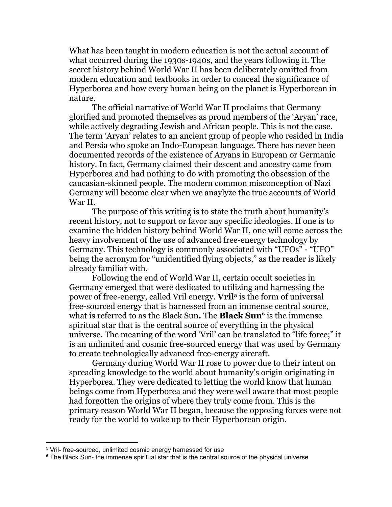What has been taught in modern education is not the actual account of what occurred during the 1930s-1940s, and the years following it. The secret history behind World War II has been deliberately omitted from modern education and textbooks in order to conceal the significance of Hyperborea and how every human being on the planet is Hyperborean in nature.

The official narrative of World War II proclaims that Germany glorified and promoted themselves as proud members of the 'Aryan' race, while actively degrading Jewish and African people. This is not the case. The term 'Aryan' relates to an ancient group of people who resided in India and Persia who spoke an Indo-European language. There has never been documented records of the existence of Aryans in European or Germanic history. In fact, Germany claimed their descent and ancestry came from Hyperborea and had nothing to do with promoting the obsession of the caucasian-skinned people. The modern common misconception of Nazi Germany will become clear when we anaylyze the true accounts of World War II.

The purpose of this writing is to state the truth about humanity's recent history, not to support or favor any specific ideologies. If one is to examine the hidden history behind World War II, one will come across the heavy involvement of the use of advanced free-energy technology by Germany. This technology is commonly associated with "UFOs" - "UFO" being the acronym for "unidentified flying objects," as the reader is likely already familiar with.

Following the end of World War II, certain occult societies in Germany emerged that were dedicated to utilizing and harnessing the power of free-energy, called Vril energy. **Vril 5** is the form of universal free-sourced energy that is harnessed from an immense central source, what is referred to as the Black Sun**.** The **Black Sun** 6 is the immense spiritual star that is the central source of everything in the physical universe. The meaning of the word 'Vril' can be translated to "life force;" it is an unlimited and cosmic free-sourced energy that was used by Germany to create technologically advanced free-energy aircraft.

Germany during World War II rose to power due to their intent on spreading knowledge to the world about humanity's origin originating in Hyperborea. They were dedicated to letting the world know that human beings come from Hyperborea and they were well aware that most people had forgotten the origins of where they truly come from. This is the primary reason World War II began, because the opposing forces were not ready for the world to wake up to their Hyperborean origin.

<sup>5</sup> Vril- free-sourced, unlimited cosmic energy harnessed for use

 $6$  The Black Sun- the immense spiritual star that is the central source of the physical universe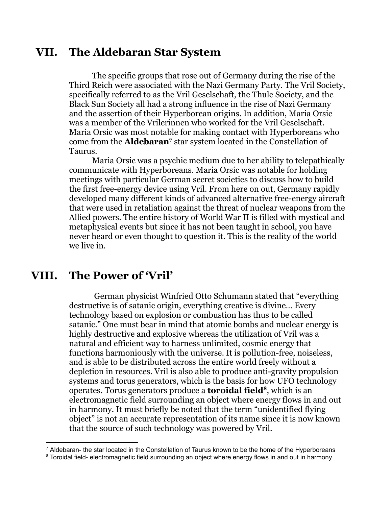#### **VII. The Aldebaran Star System**

The specific groups that rose out of Germany during the rise of the Third Reich were associated with the Nazi Germany Party. The Vril Society, specifically referred to as the Vril Geselschaft, the Thule Society, and the Black Sun Society all had a strong influence in the rise of Nazi Germany and the assertion of their Hyperborean origins. In addition, Maria Orsic was a member of the Vrilerinnen who worked for the Vril Geselschaft. Maria Orsic was most notable for making contact with Hyperboreans who come from the **Aldebaran <sup>7</sup>** star system located in the Constellation of Taurus.

Maria Orsic was a psychic medium due to her ability to telepathically communicate with Hyperboreans. Maria Orsic was notable for holding meetings with particular German secret societies to discuss how to build the first free-energy device using Vril. From here on out, Germany rapidly developed many different kinds of advanced alternative free-energy aircraft that were used in retaliation against the threat of nuclear weapons from the Allied powers. The entire history of World War II is filled with mystical and metaphysical events but since it has not been taught in school, you have never heard or even thought to question it. This is the reality of the world we live in.

## **VIII. The Power of 'Vril'**

German physicist Winfried Otto Schumann stated that "everything destructive is of satanic origin, everything creative is divine… Every technology based on explosion or combustion has thus to be called satanic." One must bear in mind that atomic bombs and nuclear energy is highly destructive and explosive whereas the utilization of Vril was a natural and efficient way to harness unlimited, cosmic energy that functions harmoniously with the universe. It is pollution-free, noiseless, and is able to be distributed across the entire world freely without a depletion in resources. Vril is also able to produce anti-gravity propulsion systems and torus generators, which is the basis for how UFO technology operates. Torus generators produce a **toroidal field 8** , which is an electromagnetic field surrounding an object where energy flows in and out in harmony. It must briefly be noted that the term "unidentified flying object" is not an accurate representation of its name since it is now known that the source of such technology was powered by Vril.

 $7$  Aldebaran- the star located in the Constellation of Taurus known to be the home of the Hyperboreans

<sup>&</sup>lt;sup>8</sup> Toroidal field- electromagnetic field surrounding an object where energy flows in and out in harmony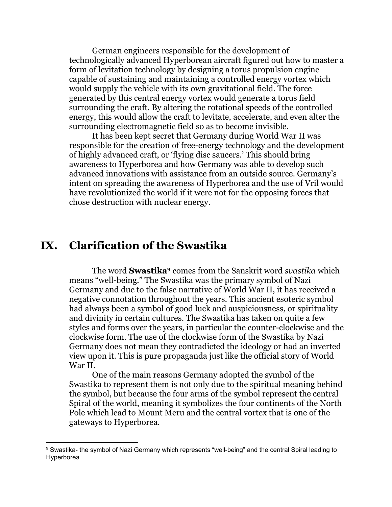German engineers responsible for the development of technologically advanced Hyperborean aircraft figured out how to master a form of levitation technology by designing a torus propulsion engine capable of sustaining and maintaining a controlled energy vortex which would supply the vehicle with its own gravitational field. The force generated by this central energy vortex would generate a torus field surrounding the craft. By altering the rotational speeds of the controlled energy, this would allow the craft to levitate, accelerate, and even alter the surrounding electromagnetic field so as to become invisible.

It has been kept secret that Germany during World War II was responsible for the creation of free-energy technology and the development of highly advanced craft, or 'flying disc saucers.' This should bring awareness to Hyperborea and how Germany was able to develop such advanced innovations with assistance from an outside source. Germany's intent on spreading the awareness of Hyperborea and the use of Vril would have revolutionized the world if it were not for the opposing forces that chose destruction with nuclear energy.

#### **IX. Clarification of the Swastika**

The word **Swastika <sup>9</sup>** comes from the Sanskrit word *svastika* which means "well-being." The Swastika was the primary symbol of Nazi Germany and due to the false narrative of World War II, it has received a negative connotation throughout the years. This ancient esoteric symbol had always been a symbol of good luck and auspiciousness, or spirituality and divinity in certain cultures. The Swastika has taken on quite a few styles and forms over the years, in particular the counter-clockwise and the clockwise form. The use of the clockwise form of the Swastika by Nazi Germany does not mean they contradicted the ideology or had an inverted view upon it. This is pure propaganda just like the official story of World War II.

One of the main reasons Germany adopted the symbol of the Swastika to represent them is not only due to the spiritual meaning behind the symbol, but because the four arms of the symbol represent the central Spiral of the world, meaning it symbolizes the four continents of the North Pole which lead to Mount Meru and the central vortex that is one of the gateways to Hyperborea.

<sup>9</sup> Swastika- the symbol of Nazi Germany which represents "well-being" and the central Spiral leading to Hyperborea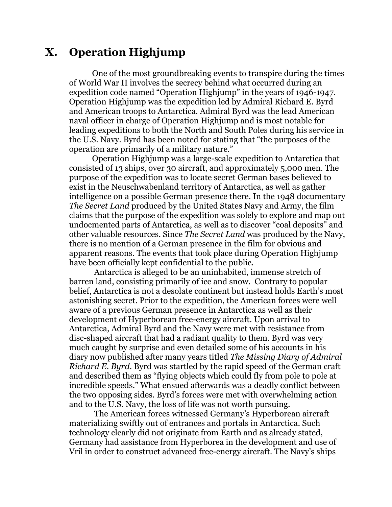## **X. Operation Highjump**

One of the most groundbreaking events to transpire during the times of World War II involves the secrecy behind what occurred during an expedition code named "Operation Highjump" in the years of 1946-1947. Operation Highjump was the expedition led by Admiral Richard E. Byrd and American troops to Antarctica. Admiral Byrd was the lead American naval officer in charge of Operation Highjump and is most notable for leading expeditions to both the North and South Poles during his service in the U.S. Navy. Byrd has been noted for stating that "the purposes of the operation are primarily of a military nature."

Operation Highjump was a large-scale expedition to Antarctica that consisted of 13 ships, over 30 aircraft, and approximately 5,000 men. The purpose of the expedition was to locate secret German bases believed to exist in the Neuschwabenland territory of Antarctica, as well as gather intelligence on a possible German presence there. In the 1948 documentary *The Secret Land* produced by the United States Navy and Army, the film claims that the purpose of the expedition was solely to explore and map out undocmented parts of Antarctica, as well as to discover "coal deposits'' and other valuable resources. Since *The Secret Land* was produced by the Navy, there is no mention of a German presence in the film for obvious and apparent reasons. The events that took place during Operation Highjump have been officially kept confidential to the public.

Antarctica is alleged to be an uninhabited, immense stretch of barren land, consisting primarily of ice and snow. Contrary to popular belief, Antarctica is not a desolate continent but instead holds Earth's most astonishing secret. Prior to the expedition, the American forces were well aware of a previous German presence in Antarctica as well as their development of Hyperborean free-energy aircraft. Upon arrival to Antarctica, Admiral Byrd and the Navy were met with resistance from disc-shaped aircraft that had a radiant quality to them. Byrd was very much caught by surprise and even detailed some of his accounts in his diary now published after many years titled *The Missing Diary of Admiral Richard E. Byrd*. Byrd was startled by the rapid speed of the German craft and described them as "flying objects which could fly from pole to pole at incredible speeds." What ensued afterwards was a deadly conflict between the two opposing sides. Byrd's forces were met with overwhelming action and to the U.S. Navy, the loss of life was not worth pursuing.

The American forces witnessed Germany's Hyperborean aircraft materializing swiftly out of entrances and portals in Antarctica. Such technology clearly did not originate from Earth and as already stated, Germany had assistance from Hyperborea in the development and use of Vril in order to construct advanced free-energy aircraft. The Navy's ships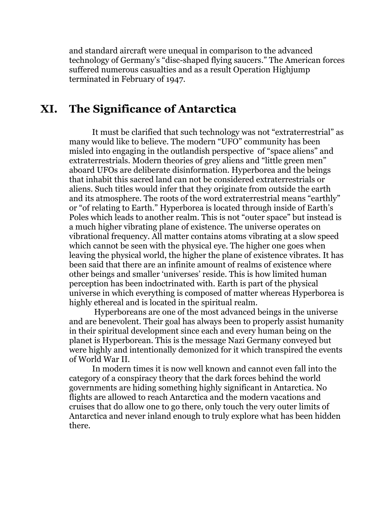and standard aircraft were unequal in comparison to the advanced technology of Germany's "disc-shaped flying saucers." The American forces suffered numerous casualties and as a result Operation Highjump terminated in February of 1947.

#### **XI. The Significance of Antarctica**

It must be clarified that such technology was not "extraterrestrial" as many would like to believe. The modern "UFO" community has been misled into engaging in the outlandish perspective of "space aliens" and extraterrestrials. Modern theories of grey aliens and "little green men" aboard UFOs are deliberate disinformation. Hyperborea and the beings that inhabit this sacred land can not be considered extraterrestrials or aliens. Such titles would infer that they originate from outside the earth and its atmosphere. The roots of the word extraterrestrial means "earthly" or "of relating to Earth." Hyperborea is located through inside of Earth's Poles which leads to another realm. This is not "outer space" but instead is a much higher vibrating plane of existence. The universe operates on vibrational frequency. All matter contains atoms vibrating at a slow speed which cannot be seen with the physical eye. The higher one goes when leaving the physical world, the higher the plane of existence vibrates. It has been said that there are an infinite amount of realms of existence where other beings and smaller 'universes' reside. This is how limited human perception has been indoctrinated with. Earth is part of the physical universe in which everything is composed of matter whereas Hyperborea is highly ethereal and is located in the spiritual realm.

Hyperboreans are one of the most advanced beings in the universe and are benevolent. Their goal has always been to properly assist humanity in their spiritual development since each and every human being on the planet is Hyperborean. This is the message Nazi Germany conveyed but were highly and intentionally demonized for it which transpired the events of World War II.

In modern times it is now well known and cannot even fall into the category of a conspiracy theory that the dark forces behind the world governments are hiding something highly significant in Antarctica. No flights are allowed to reach Antarctica and the modern vacations and cruises that do allow one to go there, only touch the very outer limits of Antarctica and never inland enough to truly explore what has been hidden there.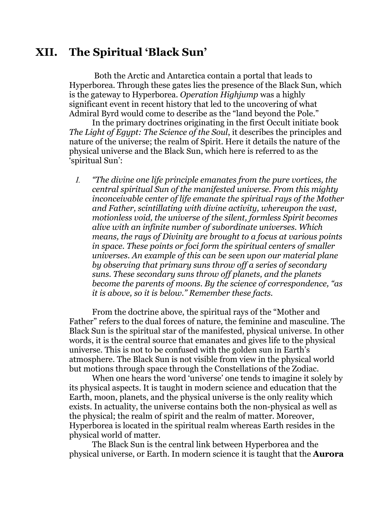# **XII. The Spiritual 'Black Sun'**

Both the Arctic and Antarctica contain a portal that leads to Hyperborea. Through these gates lies the presence of the Black Sun, which is the gateway to Hyperborea. *Operation Highjump* was a highly significant event in recent history that led to the uncovering of what Admiral Byrd would come to describe as the "land beyond the Pole."

In the primary doctrines originating in the first Occult initiate book *The Light of Egypt: The Science of the Soul*, it describes the principles and nature of the universe; the realm of Spirit. Here it details the nature of the physical universe and the Black Sun, which here is referred to as the 'spiritual Sun':

*I. "The divine one life principle emanates from the pure vortices, the central spiritual Sun of the manifested universe. From this mighty inconceivable center of life emanate the spiritual rays of the Mother and Father, scintillating with divine activity, whereupon the vast, motionless void, the universe of the silent, formless Spirit becomes alive with an infinite number of subordinate universes. Which means, the rays of Divinity are brought to a focus at various points in space. These points or foci form the spiritual centers of smaller universes. An example of this can be seen upon our material plane by observing that primary suns throw of a series of secondary suns. These secondary suns throw of planets, and the planets become the parents of moons. By the science of correspondence, "as it is above, so it is below." Remember these facts.*

From the doctrine above, the spiritual rays of the "Mother and Father" refers to the dual forces of nature, the feminine and masculine. The Black Sun is the spiritual star of the manifested, physical universe. In other words, it is the central source that emanates and gives life to the physical universe. This is not to be confused with the golden sun in Earth's atmosphere. The Black Sun is not visible from view in the physical world but motions through space through the Constellations of the Zodiac.

When one hears the word 'universe' one tends to imagine it solely by its physical aspects. It is taught in modern science and education that the Earth, moon, planets, and the physical universe is the only reality which exists. In actuality, the universe contains both the non-physical as well as the physical; the realm of spirit and the realm of matter. Moreover, Hyperborea is located in the spiritual realm whereas Earth resides in the physical world of matter.

The Black Sun is the central link between Hyperborea and the physical universe, or Earth. In modern science it is taught that the **Aurora**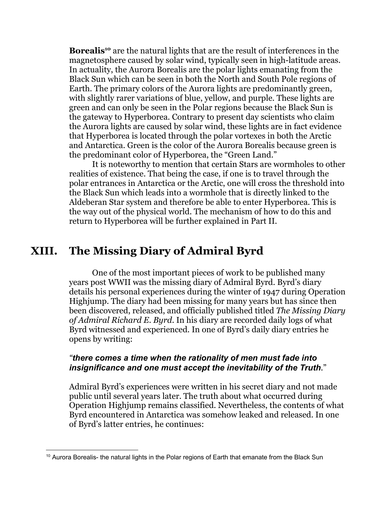**Borealis<sup>10</sup>** are the natural lights that are the result of interferences in the magnetosphere caused by solar wind, typically seen in high-latitude areas. In actuality, the Aurora Borealis are the polar lights emanating from the Black Sun which can be seen in both the North and South Pole regions of Earth. The primary colors of the Aurora lights are predominantly green, with slightly rarer variations of blue, yellow, and purple. These lights are green and can only be seen in the Polar regions because the Black Sun is the gateway to Hyperborea. Contrary to present day scientists who claim the Aurora lights are caused by solar wind, these lights are in fact evidence that Hyperborea is located through the polar vortexes in both the Arctic and Antarctica. Green is the color of the Aurora Borealis because green is the predominant color of Hyperborea, the "Green Land."

It is noteworthy to mention that certain Stars are wormholes to other realities of existence. That being the case, if one is to travel through the polar entrances in Antarctica or the Arctic, one will cross the threshold into the Black Sun which leads into a wormhole that is directly linked to the Aldeberan Star system and therefore be able to enter Hyperborea. This is the way out of the physical world. The mechanism of how to do this and return to Hyperborea will be further explained in Part II.

#### **XIII. The Missing Diary of Admiral Byrd**

One of the most important pieces of work to be published many years post WWII was the missing diary of Admiral Byrd. Byrd's diary details his personal experiences during the winter of 1947 during Operation Highjump. The diary had been missing for many years but has since then been discovered, released, and officially published titled *The Missing Diary of Admiral Richard E. Byrd*. In his diary are recorded daily logs of what Byrd witnessed and experienced. In one of Byrd's daily diary entries he opens by writing:

#### *"there comes a time when the rationality of men must fade into insignificance and one must accept the inevitability of the Truth*."

Admiral Byrd's experiences were written in his secret diary and not made public until several years later. The truth about what occurred during Operation Highjump remains classified. Nevertheless, the contents of what Byrd encountered in Antarctica was somehow leaked and released. In one of Byrd's latter entries, he continues:

<sup>&</sup>lt;sup>10</sup> Aurora Borealis- the natural lights in the Polar regions of Earth that emanate from the Black Sun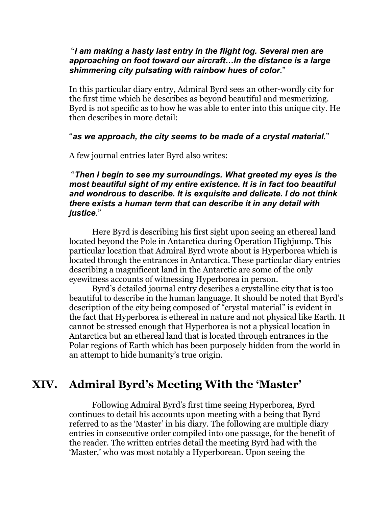#### "*I am making a hasty last entry in the flight log. Several men are approaching on foot toward our aircraft…In the distance is a large shimmering city pulsating with rainbow hues of color*."

In this particular diary entry, Admiral Byrd sees an other-wordly city for the first time which he describes as beyond beautiful and mesmerizing. Byrd is not specific as to how he was able to enter into this unique city. He then describes in more detail:

#### "*as we approach, the city seems to be made of a crystal material*."

A few journal entries later Byrd also writes:

"*Then I begin to see my surroundings. What greeted my eyes is the most beautiful sight of my entire existence. It is in fact too beautiful and wondrous to describe. It is exquisite and delicate. I do not think there exists a human term that can describe it in any detail with justice.*"

Here Byrd is describing his first sight upon seeing an ethereal land located beyond the Pole in Antarctica during Operation Highjump. This particular location that Admiral Byrd wrote about is Hyperborea which is located through the entrances in Antarctica. These particular diary entries describing a magnificent land in the Antarctic are some of the only eyewitness accounts of witnessing Hyperborea in person.

Byrd's detailed journal entry describes a crystalline city that is too beautiful to describe in the human language. It should be noted that Byrd's description of the city being composed of "crystal material" is evident in the fact that Hyperborea is ethereal in nature and not physical like Earth. It cannot be stressed enough that Hyperborea is not a physical location in Antarctica but an ethereal land that is located through entrances in the Polar regions of Earth which has been purposely hidden from the world in an attempt to hide humanity's true origin.

#### **XIV. Admiral Byrd's Meeting With the 'Master'**

Following Admiral Byrd's first time seeing Hyperborea, Byrd continues to detail his accounts upon meeting with a being that Byrd referred to as the 'Master' in his diary. The following are multiple diary entries in consecutive order compiled into one passage, for the benefit of the reader. The written entries detail the meeting Byrd had with the 'Master,' who was most notably a Hyperborean. Upon seeing the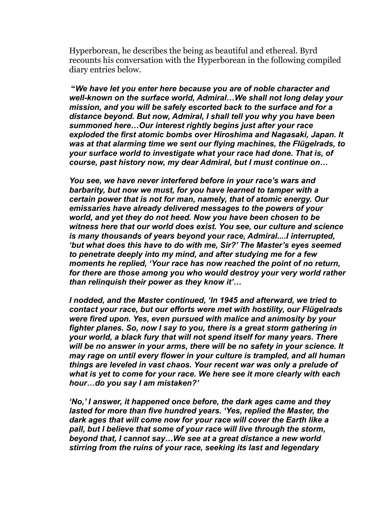Hyperborean, he describes the being as beautiful and ethereal. Byrd recounts his conversation with the Hyperborean in the following compiled diary entries below.

**"***We have let you enter here because you are of noble character and well-known on the surface world, Admiral…We shall not long delay your mission, and you will be safely escorted back to the surface and for a distance beyond. But now, Admiral, I shall tell you why you have been summoned here…Our interest rightly begins just after your race exploded the first atomic bombs over Hiroshima and Nagasaki, Japan. It was at that alarming time we sent our flying machines, the Flügelrads, to your surface world to investigate what your race had done. That is, of course, past history now, my dear Admiral, but I must continue on…*

*You see, we have never interfered before in your race's wars and barbarity, but now we must, for you have learned to tamper with a certain power that is not for man, namely, that of atomic energy. Our emissaries have already delivered messages to the powers of your world, and yet they do not heed. Now you have been chosen to be witness here that our world does exist. You see, our culture and science is many thousands of years beyond your race, Admiral....I interrupted, 'but what does this have to do with me, Sir?' The Master's eyes seemed to penetrate deeply into my mind, and after studying me for a few moments he replied, 'Your race has now reached the point of no return, for there are those among you who would destroy your very world rather than relinquish their power as they know it'…*

*I nodded, and the Master continued, 'In 1945 and afterward, we tried to contact your race, but our efforts were met with hostility, our Flügelrads were fired upon. Yes, even pursued with malice and animosity by your fighter planes. So, now I say to you, there is a great storm gathering in your world, a black fury that will not spend itself for many years. There will be no answer in your arms, there will be no safety in your science. It may rage on until every flower in your culture is trampled, and all human things are leveled in vast chaos. Your recent war was only a prelude of what is yet to come for your race. We here see it more clearly with each hour…do you say I am mistaken?'*

*'No,' I answer, it happened once before, the dark ages came and they lasted for more than five hundred years. 'Yes, replied the Master, the dark ages that will come now for your race will cover the Earth like a pall, but I believe that some of your race will live through the storm, beyond that, I cannot say…We see at a great distance a new world stirring from the ruins of your race, seeking its last and legendary*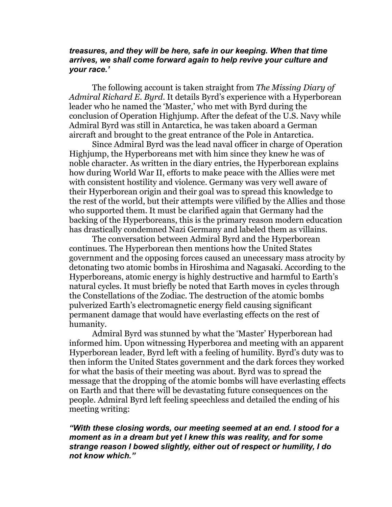#### *treasures, and they will be here, safe in our keeping. When that time arrives, we shall come forward again to help revive your culture and your race.'*

The following account is taken straight from *The Missing Diary of Admiral Richard E. Byrd*. It details Byrd's experience with a Hyperborean leader who he named the 'Master,' who met with Byrd during the conclusion of Operation Highjump. After the defeat of the U.S. Navy while Admiral Byrd was still in Antarctica, he was taken aboard a German aircraft and brought to the great entrance of the Pole in Antarctica.

Since Admiral Byrd was the lead naval officer in charge of Operation Highjump, the Hyperboreans met with him since they knew he was of noble character. As written in the diary entries, the Hyperborean explains how during World War II, efforts to make peace with the Allies were met with consistent hostility and violence. Germany was very well aware of their Hyperborean origin and their goal was to spread this knowledge to the rest of the world, but their attempts were vilified by the Allies and those who supported them. It must be clarified again that Germany had the backing of the Hyperboreans, this is the primary reason modern education has drastically condemned Nazi Germany and labeled them as villains.

The conversation between Admiral Byrd and the Hyperborean continues. The Hyperborean then mentions how the United States government and the opposing forces caused an unecessary mass atrocity by detonating two atomic bombs in Hiroshima and Nagasaki. According to the Hyperboreans, atomic energy is highly destructive and harmful to Earth's natural cycles. It must briefly be noted that Earth moves in cycles through the Constellations of the Zodiac. The destruction of the atomic bombs pulverized Earth's electromagnetic energy field causing significant permanent damage that would have everlasting effects on the rest of humanity.

Admiral Byrd was stunned by what the 'Master' Hyperborean had informed him. Upon witnessing Hyperborea and meeting with an apparent Hyperborean leader, Byrd left with a feeling of humility. Byrd's duty was to then inform the United States government and the dark forces they worked for what the basis of their meeting was about. Byrd was to spread the message that the dropping of the atomic bombs will have everlasting effects on Earth and that there will be devastating future consequences on the people. Admiral Byrd left feeling speechless and detailed the ending of his meeting writing:

*"With these closing words, our meeting seemed at an end. I stood for a moment as in a dream but yet I knew this was reality, and for some strange reason I bowed slightly, either out of respect or humility, I do not know which."*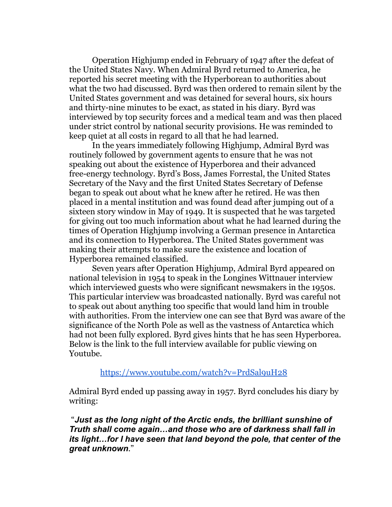Operation Highjump ended in February of 1947 after the defeat of the United States Navy. When Admiral Byrd returned to America, he reported his secret meeting with the Hyperborean to authorities about what the two had discussed. Byrd was then ordered to remain silent by the United States government and was detained for several hours, six hours and thirty-nine minutes to be exact, as stated in his diary. Byrd was interviewed by top security forces and a medical team and was then placed under strict control by national security provisions. He was reminded to keep quiet at all costs in regard to all that he had learned.

In the years immediately following Highjump, Admiral Byrd was routinely followed by government agents to ensure that he was not speaking out about the existence of Hyperborea and their advanced free-energy technology. Byrd's Boss, James Forrestal, the United States Secretary of the Navy and the first United States Secretary of Defense began to speak out about what he knew after he retired. He was then placed in a mental institution and was found dead after jumping out of a sixteen story window in May of 1949. It is suspected that he was targeted for giving out too much information about what he had learned during the times of Operation Highjump involving a German presence in Antarctica and its connection to Hyperborea. The United States government was making their attempts to make sure the existence and location of Hyperborea remained classified.

Seven years after Operation Highjump, Admiral Byrd appeared on national television in 1954 to speak in the Longines Wittnauer interview which interviewed guests who were significant newsmakers in the 1950s. This particular interview was broadcasted nationally. Byrd was careful not to speak out about anything too specific that would land him in trouble with authorities. From the interview one can see that Byrd was aware of the significance of the North Pole as well as the vastness of Antarctica which had not been fully explored. Byrd gives hints that he has seen Hyperborea. Below is the link to the full interview available for public viewing on Youtube.

#### <https://www.youtube.com/watch?v=PrdSal9uH28>

Admiral Byrd ended up passing away in 1957. Byrd concludes his diary by writing:

"*Just as the long night of the Arctic ends, the brilliant sunshine of Truth shall come again…and those who are of darkness shall fall in its light…for I have seen that land beyond the pole, that center of the great unknown*."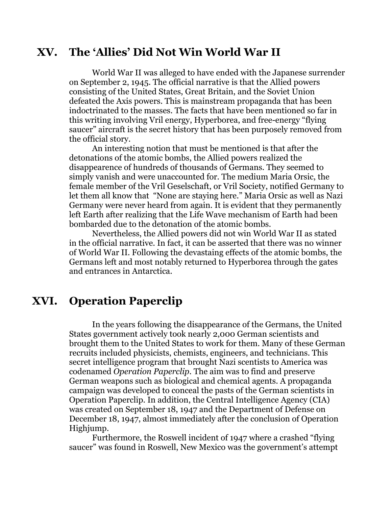#### **XV. The 'Allies' Did Not Win World War II**

World War II was alleged to have ended with the Japanese surrender on September 2, 1945. The official narrative is that the Allied powers consisting of the United States, Great Britain, and the Soviet Union defeated the Axis powers. This is mainstream propaganda that has been indoctrinated to the masses. The facts that have been mentioned so far in this writing involving Vril energy, Hyperborea, and free-energy "flying saucer" aircraft is the secret history that has been purposely removed from the official story.

An interesting notion that must be mentioned is that after the detonations of the atomic bombs, the Allied powers realized the disappearence of hundreds of thousands of Germans. They seemed to simply vanish and were unaccounted for. The medium Maria Orsic, the female member of the Vril Geselschaft, or Vril Society, notified Germany to let them all know that "None are staying here." Maria Orsic as well as Nazi Germany were never heard from again. It is evident that they permanently left Earth after realizing that the Life Wave mechanism of Earth had been bombarded due to the detonation of the atomic bombs.

Nevertheless, the Allied powers did not win World War II as stated in the official narrative. In fact, it can be asserted that there was no winner of World War II. Following the devastaing effects of the atomic bombs, the Germans left and most notably returned to Hyperborea through the gates and entrances in Antarctica.

#### **XVI. Operation Paperclip**

In the years following the disappearance of the Germans, the United States government actively took nearly 2,000 German scientists and brought them to the United States to work for them. Many of these German recruits included physicists, chemists, engineers, and technicians. This secret intelligence program that brought Nazi scentists to America was codenamed *Operation Paperclip*. The aim was to find and preserve German weapons such as biological and chemical agents. A propaganda campaign was developed to conceal the pasts of the German scientists in Operation Paperclip. In addition, the Central Intelligence Agency (CIA) was created on September 18, 1947 and the Department of Defense on December 18, 1947, almost immediately after the conclusion of Operation Highjump.

Furthermore, the Roswell incident of 1947 where a crashed "flying saucer" was found in Roswell, New Mexico was the government's attempt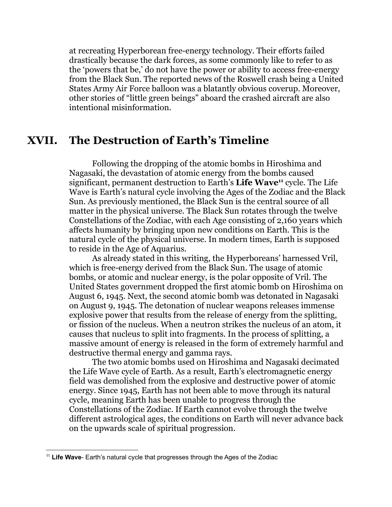at recreating Hyperborean free-energy technology. Their efforts failed drastically because the dark forces, as some commonly like to refer to as the 'powers that be,' do not have the power or ability to access free-energy from the Black Sun. The reported news of the Roswell crash being a United States Army Air Force balloon was a blatantly obvious coverup. Moreover, other stories of "little green beings" aboard the crashed aircraft are also intentional misinformation.

#### **XVII. The Destruction of Earth's Timeline**

Following the dropping of the atomic bombs in Hiroshima and Nagasaki, the devastation of atomic energy from the bombs caused significant, permanent destruction to Earth's **Life Wave <sup>11</sup>** cycle. The Life Wave is Earth's natural cycle involving the Ages of the Zodiac and the Black Sun. As previously mentioned, the Black Sun is the central source of all matter in the physical universe. The Black Sun rotates through the twelve Constellations of the Zodiac, with each Age consisting of 2,160 years which affects humanity by bringing upon new conditions on Earth. This is the natural cycle of the physical universe. In modern times, Earth is supposed to reside in the Age of Aquarius.

As already stated in this writing, the Hyperboreans' harnessed Vril, which is free-energy derived from the Black Sun. The usage of atomic bombs, or atomic and nuclear energy, is the polar opposite of Vril. The United States government dropped the first atomic bomb on Hiroshima on August 6, 1945. Next, the second atomic bomb was detonated in Nagasaki on August 9, 1945. The detonation of nuclear weapons releases immense explosive power that results from the release of energy from the splitting, or fission of the nucleus. When a neutron strikes the nucleus of an atom, it causes that nucleus to split into fragments. In the process of splitting, a massive amount of energy is released in the form of extremely harmful and destructive thermal energy and gamma rays.

The two atomic bombs used on Hiroshima and Nagasaki decimated the Life Wave cycle of Earth. As a result, Earth's electromagnetic energy field was demolished from the explosive and destructive power of atomic energy. Since 1945, Earth has not been able to move through its natural cycle, meaning Earth has been unable to progress through the Constellations of the Zodiac. If Earth cannot evolve through the twelve different astrological ages, the conditions on Earth will never advance back on the upwards scale of spiritual progression.

<sup>11</sup> **Life Wave**- Earth's natural cycle that progresses through the Ages of the Zodiac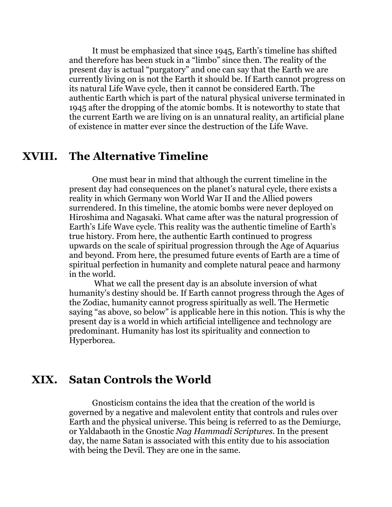It must be emphasized that since 1945, Earth's timeline has shifted and therefore has been stuck in a "limbo" since then. The reality of the present day is actual "purgatory" and one can say that the Earth we are currently living on is not the Earth it should be. If Earth cannot progress on its natural Life Wave cycle, then it cannot be considered Earth. The authentic Earth which is part of the natural physical universe terminated in 1945 after the dropping of the atomic bombs. It is noteworthy to state that the current Earth we are living on is an unnatural reality, an artificial plane of existence in matter ever since the destruction of the Life Wave.

#### **XVIII. The Alternative Timeline**

One must bear in mind that although the current timeline in the present day had consequences on the planet's natural cycle, there exists a reality in which Germany won World War II and the Allied powers surrendered. In this timeline, the atomic bombs were never deployed on Hiroshima and Nagasaki. What came after was the natural progression of Earth's Life Wave cycle. This reality was the authentic timeline of Earth's true history. From here, the authentic Earth continued to progress upwards on the scale of spiritual progression through the Age of Aquarius and beyond. From here, the presumed future events of Earth are a time of spiritual perfection in humanity and complete natural peace and harmony in the world.

What we call the present day is an absolute inversion of what humanity's destiny should be. If Earth cannot progress through the Ages of the Zodiac, humanity cannot progress spiritually as well. The Hermetic saying "as above, so below" is applicable here in this notion. This is why the present day is a world in which artificial intelligence and technology are predominant. Humanity has lost its spirituality and connection to Hyperborea.

#### **XIX. Satan Controls the World**

Gnosticism contains the idea that the creation of the world is governed by a negative and malevolent entity that controls and rules over Earth and the physical universe. This being is referred to as the Demiurge, or Yaldabaoth in the Gnostic *Nag Hammadi Scriptures.* In the present day, the name Satan is associated with this entity due to his association with being the Devil. They are one in the same.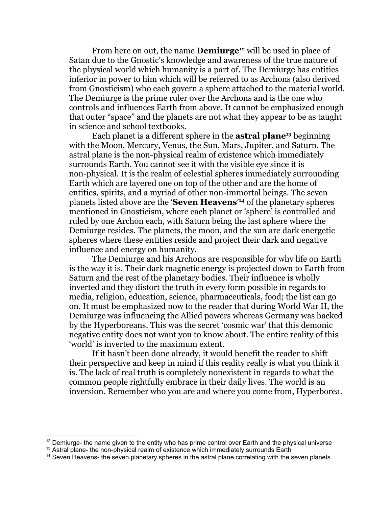From here on out, the name **Demiurge <sup>12</sup>** will be used in place of Satan due to the Gnostic's knowledge and awareness of the true nature of the physical world which humanity is a part of. The Demiurge has entities inferior in power to him which will be referred to as Archons (also derived from Gnosticism) who each govern a sphere attached to the material world. The Demiurge is the prime ruler over the Archons and is the one who controls and influences Earth from above. It cannot be emphasized enough that outer "space" and the planets are not what they appear to be as taught in science and school textbooks.

Each planet is a different sphere in the **astral plane <sup>13</sup>** beginning with the Moon, Mercury, Venus, the Sun, Mars, Jupiter, and Saturn. The astral plane is the non-physical realm of existence which immediately surrounds Earth. You cannot see it with the visible eye since it is non-physical. It is the realm of celestial spheres immediately surrounding Earth which are layered one on top of the other and are the home of entities, spirits, and a myriad of other non-immortal beings. The seven planets listed above are the '**Seven Heavens**' **<sup>14</sup>** of the planetary spheres mentioned in Gnosticism, where each planet or 'sphere' is controlled and ruled by one Archon each, with Saturn being the last sphere where the Demiurge resides. The planets, the moon, and the sun are dark energetic spheres where these entities reside and project their dark and negative influence and energy on humanity.

The Demiurge and his Archons are responsible for why life on Earth is the way it is. Their dark magnetic energy is projected down to Earth from Saturn and the rest of the planetary bodies. Their influence is wholly inverted and they distort the truth in every form possible in regards to media, religion, education, science, pharmaceuticals, food; the list can go on. It must be emphasized now to the reader that during World War II, the Demiurge was influencing the Allied powers whereas Germany was backed by the Hyperboreans. This was the secret 'cosmic war' that this demonic negative entity does not want you to know about. The entire reality of this 'world' is inverted to the maximum extent.

If it hasn't been done already, it would benefit the reader to shift their perspective and keep in mind if this reality really is what you think it is. The lack of real truth is completely nonexistent in regards to what the common people rightfully embrace in their daily lives. The world is an inversion. Remember who you are and where you come from, Hyperborea.

 $12$  Demiurge- the name given to the entity who has prime control over Earth and the physical universe

 $13$  Astral plane- the non-physical realm of existence which immediately surrounds Earth

<sup>&</sup>lt;sup>14</sup> Seven Heavens- the seven planetary spheres in the astral plane correlating with the seven planets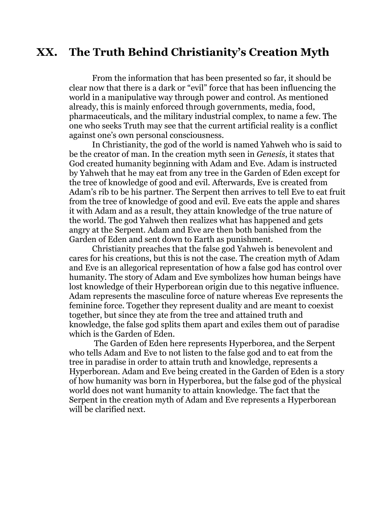#### **XX. The Truth Behind Christianity's Creation Myth**

From the information that has been presented so far, it should be clear now that there is a dark or "evil" force that has been influencing the world in a manipulative way through power and control. As mentioned already, this is mainly enforced through governments, media, food, pharmaceuticals, and the military industrial complex, to name a few. The one who seeks Truth may see that the current artificial reality is a conflict against one's own personal consciousness.

In Christianity, the god of the world is named Yahweh who is said to be the creator of man. In the creation myth seen in *Genesis*, it states that God created humanity beginning with Adam and Eve. Adam is instructed by Yahweh that he may eat from any tree in the Garden of Eden except for the tree of knowledge of good and evil. Afterwards, Eve is created from Adam's rib to be his partner. The Serpent then arrives to tell Eve to eat fruit from the tree of knowledge of good and evil. Eve eats the apple and shares it with Adam and as a result, they attain knowledge of the true nature of the world. The god Yahweh then realizes what has happened and gets angry at the Serpent. Adam and Eve are then both banished from the Garden of Eden and sent down to Earth as punishment.

Christianity preaches that the false god Yahweh is benevolent and cares for his creations, but this is not the case. The creation myth of Adam and Eve is an allegorical representation of how a false god has control over humanity. The story of Adam and Eve symbolizes how human beings have lost knowledge of their Hyperborean origin due to this negative influence. Adam represents the masculine force of nature whereas Eve represents the feminine force. Together they represent duality and are meant to coexist together, but since they ate from the tree and attained truth and knowledge, the false god splits them apart and exiles them out of paradise which is the Garden of Eden.

The Garden of Eden here represents Hyperborea, and the Serpent who tells Adam and Eve to not listen to the false god and to eat from the tree in paradise in order to attain truth and knowledge, represents a Hyperborean. Adam and Eve being created in the Garden of Eden is a story of how humanity was born in Hyperborea, but the false god of the physical world does not want humanity to attain knowledge. The fact that the Serpent in the creation myth of Adam and Eve represents a Hyperborean will be clarified next.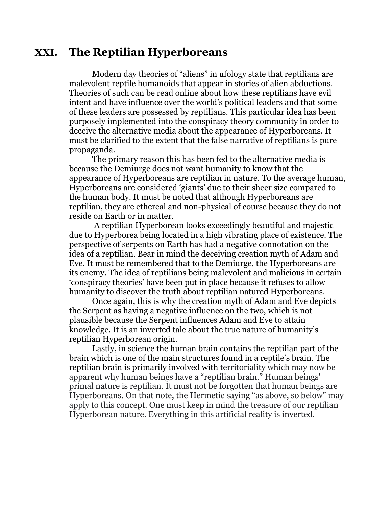#### **XXI. The Reptilian Hyperboreans**

Modern day theories of "aliens" in ufology state that reptilians are malevolent reptile humanoids that appear in stories of alien abductions. Theories of such can be read online about how these reptilians have evil intent and have influence over the world's political leaders and that some of these leaders are possessed by reptilians. This particular idea has been purposely implemented into the conspiracy theory community in order to deceive the alternative media about the appearance of Hyperboreans. It must be clarified to the extent that the false narrative of reptilians is pure propaganda.

The primary reason this has been fed to the alternative media is because the Demiurge does not want humanity to know that the appearance of Hyperboreans are reptilian in nature. To the average human, Hyperboreans are considered 'giants' due to their sheer size compared to the human body. It must be noted that although Hyperboreans are reptilian, they are ethereal and non-physical of course because they do not reside on Earth or in matter.

A reptilian Hyperborean looks exceedingly beautiful and majestic due to Hyperborea being located in a high vibrating place of existence. The perspective of serpents on Earth has had a negative connotation on the idea of a reptilian. Bear in mind the deceiving creation myth of Adam and Eve. It must be remembered that to the Demiurge, the Hyperboreans are its enemy. The idea of reptilians being malevolent and malicious in certain 'conspiracy theories' have been put in place because it refuses to allow humanity to discover the truth about reptilian natured Hyperboreans.

Once again, this is why the creation myth of Adam and Eve depicts the Serpent as having a negative influence on the two, which is not plausible because the Serpent influences Adam and Eve to attain knowledge. It is an inverted tale about the true nature of humanity's reptilian Hyperborean origin.

Lastly, in science the human brain contains the reptilian part of the brain which is one of the main structures found in a reptile's brain. The reptilian brain is primarily involved with territoriality which may now be apparent why human beings have a "reptilian brain." Human beings' primal nature is reptilian. It must not be forgotten that human beings are Hyperboreans. On that note, the Hermetic saying "as above, so below" may apply to this concept. One must keep in mind the treasure of our reptilian Hyperborean nature. Everything in this artificial reality is inverted.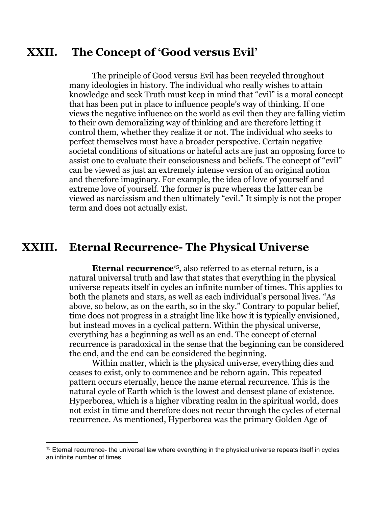#### **XXII. The Concept of 'Good versus Evil'**

The principle of Good versus Evil has been recycled throughout many ideologies in history. The individual who really wishes to attain knowledge and seek Truth must keep in mind that "evil" is a moral concept that has been put in place to influence people's way of thinking. If one views the negative influence on the world as evil then they are falling victim to their own demoralizing way of thinking and are therefore letting it control them, whether they realize it or not. The individual who seeks to perfect themselves must have a broader perspective. Certain negative societal conditions of situations or hateful acts are just an opposing force to assist one to evaluate their consciousness and beliefs. The concept of "evil" can be viewed as just an extremely intense version of an original notion and therefore imaginary. For example, the idea of love of yourself and extreme love of yourself. The former is pure whereas the latter can be viewed as narcissism and then ultimately "evil." It simply is not the proper term and does not actually exist.

#### **XXIII. Eternal Recurrence- The Physical Universe**

**Eternal recurrence 15** , also referred to as eternal return, is a natural universal truth and law that states that everything in the physical universe repeats itself in cycles an infinite number of times. This applies to both the planets and stars, as well as each individual's personal lives. "As above, so below, as on the earth, so in the sky." Contrary to popular belief, time does not progress in a straight line like how it is typically envisioned, but instead moves in a cyclical pattern. Within the physical universe, everything has a beginning as well as an end. The concept of eternal recurrence is paradoxical in the sense that the beginning can be considered the end, and the end can be considered the beginning.

Within matter, which is the physical universe, everything dies and ceases to exist, only to commence and be reborn again. This repeated pattern occurs eternally, hence the name eternal recurrence. This is the natural cycle of Earth which is the lowest and densest plane of existence. Hyperborea, which is a higher vibrating realm in the spiritual world, does not exist in time and therefore does not recur through the cycles of eternal recurrence. As mentioned, Hyperborea was the primary Golden Age of

<sup>&</sup>lt;sup>15</sup> Eternal recurrence- the universal law where everything in the physical universe repeats itself in cycles an infinite number of times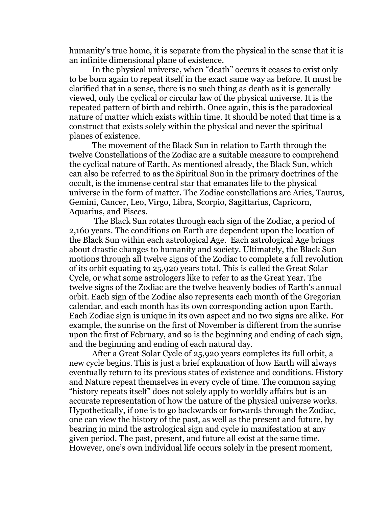humanity's true home, it is separate from the physical in the sense that it is an infinite dimensional plane of existence.

In the physical universe, when "death" occurs it ceases to exist only to be born again to repeat itself in the exact same way as before. It must be clarified that in a sense, there is no such thing as death as it is generally viewed, only the cyclical or circular law of the physical universe. It is the repeated pattern of birth and rebirth. Once again, this is the paradoxical nature of matter which exists within time. It should be noted that time is a construct that exists solely within the physical and never the spiritual planes of existence.

The movement of the Black Sun in relation to Earth through the twelve Constellations of the Zodiac are a suitable measure to comprehend the cyclical nature of Earth. As mentioned already, the Black Sun, which can also be referred to as the Spiritual Sun in the primary doctrines of the occult, is the immense central star that emanates life to the physical universe in the form of matter. The Zodiac constellations are Aries, Taurus, Gemini, Cancer, Leo, Virgo, Libra, Scorpio, Sagittarius, Capricorn, Aquarius, and Pisces.

The Black Sun rotates through each sign of the Zodiac, a period of 2,160 years. The conditions on Earth are dependent upon the location of the Black Sun within each astrological Age. Each astrological Age brings about drastic changes to humanity and society. Ultimately, the Black Sun motions through all twelve signs of the Zodiac to complete a full revolution of its orbit equating to 25,920 years total. This is called the Great Solar Cycle, or what some astrologers like to refer to as the Great Year. The twelve signs of the Zodiac are the twelve heavenly bodies of Earth's annual orbit. Each sign of the Zodiac also represents each month of the Gregorian calendar, and each month has its own corresponding action upon Earth. Each Zodiac sign is unique in its own aspect and no two signs are alike. For example, the sunrise on the first of November is different from the sunrise upon the first of February, and so is the beginning and ending of each sign, and the beginning and ending of each natural day.

After a Great Solar Cycle of 25,920 years completes its full orbit, a new cycle begins. This is just a brief explanation of how Earth will always eventually return to its previous states of existence and conditions. History and Nature repeat themselves in every cycle of time. The common saying "history repeats itself" does not solely apply to worldly affairs but is an accurate representation of how the nature of the physical universe works. Hypothetically, if one is to go backwards or forwards through the Zodiac, one can view the history of the past, as well as the present and future, by bearing in mind the astrological sign and cycle in manifestation at any given period. The past, present, and future all exist at the same time. However, one's own individual life occurs solely in the present moment,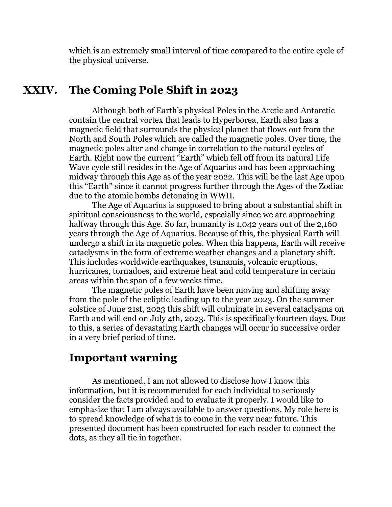which is an extremely small interval of time compared to the entire cycle of the physical universe.

## **XXIV. The Coming Pole Shift in 2023**

Although both of Earth's physical Poles in the Arctic and Antarctic contain the central vortex that leads to Hyperborea, Earth also has a magnetic field that surrounds the physical planet that flows out from the North and South Poles which are called the magnetic poles. Over time, the magnetic poles alter and change in correlation to the natural cycles of Earth. Right now the current "Earth" which fell off from its natural Life Wave cycle still resides in the Age of Aquarius and has been approaching midway through this Age as of the year 2022. This will be the last Age upon this "Earth" since it cannot progress further through the Ages of the Zodiac due to the atomic bombs detonaing in WWII.

The Age of Aquarius is supposed to bring about a substantial shift in spiritual consciousness to the world, especially since we are approaching halfway through this Age. So far, humanity is 1,042 years out of the 2,160 years through the Age of Aquarius. Because of this, the physical Earth will undergo a shift in its magnetic poles. When this happens, Earth will receive cataclysms in the form of extreme weather changes and a planetary shift. This includes worldwide earthquakes, tsunamis, volcanic eruptions, hurricanes, tornadoes, and extreme heat and cold temperature in certain areas within the span of a few weeks time.

The magnetic poles of Earth have been moving and shifting away from the pole of the ecliptic leading up to the year 2023. On the summer solstice of June 21st, 2023 this shift will culminate in several cataclysms on Earth and will end on July 4th, 2023. This is specifically fourteen days. Due to this, a series of devastating Earth changes will occur in successive order in a very brief period of time.

## **Important warning**

As mentioned, I am not allowed to disclose how I know this information, but it is recommended for each individual to seriously consider the facts provided and to evaluate it properly. I would like to emphasize that I am always available to answer questions. My role here is to spread knowledge of what is to come in the very near future. This presented document has been constructed for each reader to connect the dots, as they all tie in together.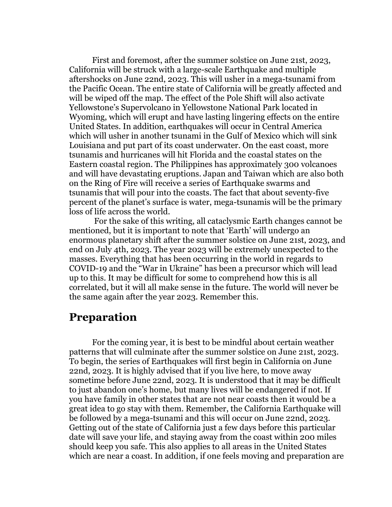First and foremost, after the summer solstice on June 21st, 2023, California will be struck with a large-scale Earthquake and multiple aftershocks on June 22nd, 2023. This will usher in a mega-tsunami from the Pacific Ocean. The entire state of California will be greatly affected and will be wiped off the map. The effect of the Pole Shift will also activate Yellowstone's Supervolcano in Yellowstone National Park located in Wyoming, which will erupt and have lasting lingering effects on the entire United States. In addition, earthquakes will occur in Central America which will usher in another tsunami in the Gulf of Mexico which will sink Louisiana and put part of its coast underwater. On the east coast, more tsunamis and hurricanes will hit Florida and the coastal states on the Eastern coastal region. The Philippines has approximately 300 volcanoes and will have devastating eruptions. Japan and Taiwan which are also both on the Ring of Fire will receive a series of Earthquake swarms and tsunamis that will pour into the coasts. The fact that about seventy-five percent of the planet's surface is water, mega-tsunamis will be the primary loss of life across the world.

For the sake of this writing, all cataclysmic Earth changes cannot be mentioned, but it is important to note that 'Earth' will undergo an enormous planetary shift after the summer solstice on June 21st, 2023, and end on July 4th, 2023. The year 2023 will be extremely unexpected to the masses. Everything that has been occurring in the world in regards to COVID-19 and the "War in Ukraine" has been a precursor which will lead up to this. It may be difficult for some to comprehend how this is all correlated, but it will all make sense in the future. The world will never be the same again after the year 2023. Remember this.

#### **Preparation**

For the coming year, it is best to be mindful about certain weather patterns that will culminate after the summer solstice on June 21st, 2023. To begin, the series of Earthquakes will first begin in California on June 22nd, 2023. It is highly advised that if you live here, to move away sometime before June 22nd, 2023. It is understood that it may be difficult to just abandon one's home, but many lives will be endangered if not. If you have family in other states that are not near coasts then it would be a great idea to go stay with them. Remember, the California Earthquake will be followed by a mega-tsunami and this will occur on June 22nd, 2023. Getting out of the state of California just a few days before this particular date will save your life, and staying away from the coast within 200 miles should keep you safe. This also applies to all areas in the United States which are near a coast. In addition, if one feels moving and preparation are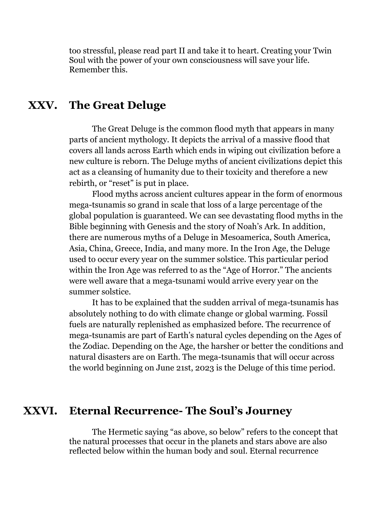too stressful, please read part II and take it to heart. Creating your Twin Soul with the power of your own consciousness will save your life. Remember this.

#### **XXV. The Great Deluge**

The Great Deluge is the common flood myth that appears in many parts of ancient mythology. It depicts the arrival of a massive flood that covers all lands across Earth which ends in wiping out civilization before a new culture is reborn. The Deluge myths of ancient civilizations depict this act as a cleansing of humanity due to their toxicity and therefore a new rebirth, or "reset" is put in place.

Flood myths across ancient cultures appear in the form of enormous mega-tsunamis so grand in scale that loss of a large percentage of the global population is guaranteed. We can see devastating flood myths in the Bible beginning with Genesis and the story of Noah's Ark. In addition, there are numerous myths of a Deluge in Mesoamerica, South America, Asia, China, Greece, India, and many more. In the Iron Age, the Deluge used to occur every year on the summer solstice. This particular period within the Iron Age was referred to as the "Age of Horror." The ancients were well aware that a mega-tsunami would arrive every year on the summer solstice.

It has to be explained that the sudden arrival of mega-tsunamis has absolutely nothing to do with climate change or global warming. Fossil fuels are naturally replenished as emphasized before. The recurrence of mega-tsunamis are part of Earth's natural cycles depending on the Ages of the Zodiac. Depending on the Age, the harsher or better the conditions and natural disasters are on Earth. The mega-tsunamis that will occur across the world beginning on June 21st, 2023 is the Deluge of this time period.

#### **XXVI. Eternal Recurrence- The Soul's Journey**

The Hermetic saying "as above, so below" refers to the concept that the natural processes that occur in the planets and stars above are also reflected below within the human body and soul. Eternal recurrence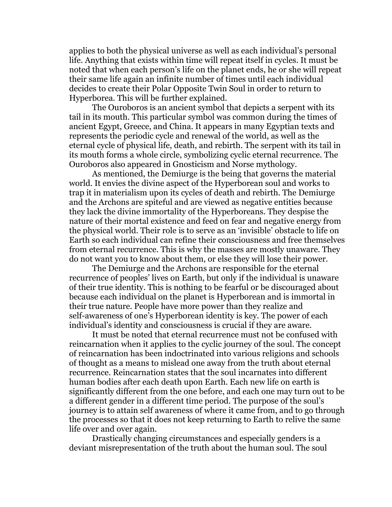applies to both the physical universe as well as each individual's personal life. Anything that exists within time will repeat itself in cycles. It must be noted that when each person's life on the planet ends, he or she will repeat their same life again an infinite number of times until each individual decides to create their Polar Opposite Twin Soul in order to return to Hyperborea. This will be further explained.

The Ouroboros is an ancient symbol that depicts a serpent with its tail in its mouth. This particular symbol was common during the times of ancient Egypt, Greece, and China. It appears in many Egyptian texts and represents the periodic cycle and renewal of the world, as well as the eternal cycle of physical life, death, and rebirth. The serpent with its tail in its mouth forms a whole circle, symbolizing cyclic eternal recurrence. The Ouroboros also appeared in Gnosticism and Norse mythology.

As mentioned, the Demiurge is the being that governs the material world. It envies the divine aspect of the Hyperborean soul and works to trap it in materialism upon its cycles of death and rebirth. The Demiurge and the Archons are spiteful and are viewed as negative entities because they lack the divine immortality of the Hyperboreans. They despise the nature of their mortal existence and feed on fear and negative energy from the physical world. Their role is to serve as an 'invisible' obstacle to life on Earth so each individual can refine their consciousness and free themselves from eternal recurrence. This is why the masses are mostly unaware. They do not want you to know about them, or else they will lose their power.

The Demiurge and the Archons are responsible for the eternal recurrence of peoples' lives on Earth, but only if the individual is unaware of their true identity. This is nothing to be fearful or be discouraged about because each individual on the planet is Hyperborean and is immortal in their true nature. People have more power than they realize and self-awareness of one's Hyperborean identity is key. The power of each individual's identity and consciousness is crucial if they are aware.

It must be noted that eternal recurrence must not be confused with reincarnation when it applies to the cyclic journey of the soul. The concept of reincarnation has been indoctrinated into various religions and schools of thought as a means to mislead one away from the truth about eternal recurrence. Reincarnation states that the soul incarnates into different human bodies after each death upon Earth. Each new life on earth is significantly different from the one before, and each one may turn out to be a different gender in a different time period. The purpose of the soul's journey is to attain self awareness of where it came from, and to go through the processes so that it does not keep returning to Earth to relive the same life over and over again.

Drastically changing circumstances and especially genders is a deviant misrepresentation of the truth about the human soul. The soul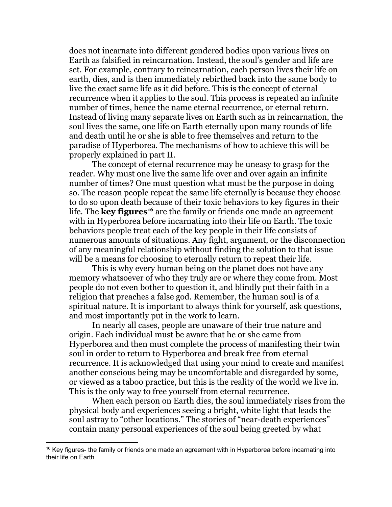does not incarnate into different gendered bodies upon various lives on Earth as falsified in reincarnation. Instead, the soul's gender and life are set. For example, contrary to reincarnation, each person lives their life on earth, dies, and is then immediately rebirthed back into the same body to live the exact same life as it did before. This is the concept of eternal recurrence when it applies to the soul. This process is repeated an infinite number of times, hence the name eternal recurrence, or eternal return. Instead of living many separate lives on Earth such as in reincarnation, the soul lives the same, one life on Earth eternally upon many rounds of life and death until he or she is able to free themselves and return to the paradise of Hyperborea. The mechanisms of how to achieve this will be properly explained in part II.

The concept of eternal recurrence may be uneasy to grasp for the reader. Why must one live the same life over and over again an infinite number of times? One must question what must be the purpose in doing so. The reason people repeat the same life eternally is because they choose to do so upon death because of their toxic behaviors to key figures in their life. The **key figures <sup>16</sup>** are the family or friends one made an agreement with in Hyperborea before incarnating into their life on Earth. The toxic behaviors people treat each of the key people in their life consists of numerous amounts of situations. Any fight, argument, or the disconnection of any meaningful relationship without finding the solution to that issue will be a means for choosing to eternally return to repeat their life.

This is why every human being on the planet does not have any memory whatsoever of who they truly are or where they come from. Most people do not even bother to question it, and blindly put their faith in a religion that preaches a false god. Remember, the human soul is of a spiritual nature. It is important to always think for yourself, ask questions, and most importantly put in the work to learn.

In nearly all cases, people are unaware of their true nature and origin. Each individual must be aware that he or she came from Hyperborea and then must complete the process of manifesting their twin soul in order to return to Hyperborea and break free from eternal recurrence. It is acknowledged that using your mind to create and manifest another conscious being may be uncomfortable and disregarded by some, or viewed as a taboo practice, but this is the reality of the world we live in. This is the only way to free yourself from eternal recurrence.

When each person on Earth dies, the soul immediately rises from the physical body and experiences seeing a bright, white light that leads the soul astray to "other locations." The stories of "near-death experiences" contain many personal experiences of the soul being greeted by what

<sup>&</sup>lt;sup>16</sup> Key figures- the family or friends one made an agreement with in Hyperborea before incarnating into their life on Earth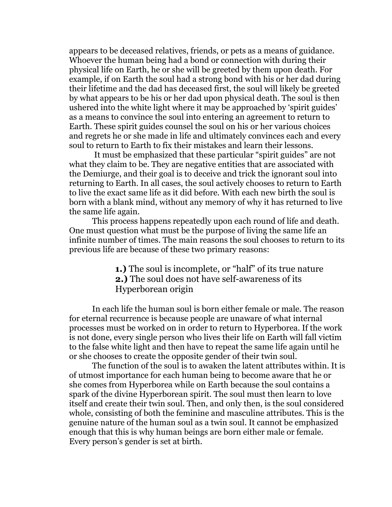appears to be deceased relatives, friends, or pets as a means of guidance. Whoever the human being had a bond or connection with during their physical life on Earth, he or she will be greeted by them upon death. For example, if on Earth the soul had a strong bond with his or her dad during their lifetime and the dad has deceased first, the soul will likely be greeted by what appears to be his or her dad upon physical death. The soul is then ushered into the white light where it may be approached by 'spirit guides' as a means to convince the soul into entering an agreement to return to Earth. These spirit guides counsel the soul on his or her various choices and regrets he or she made in life and ultimately convinces each and every soul to return to Earth to fix their mistakes and learn their lessons.

It must be emphasized that these particular "spirit guides" are not what they claim to be. They are negative entities that are associated with the Demiurge, and their goal is to deceive and trick the ignorant soul into returning to Earth. In all cases, the soul actively chooses to return to Earth to live the exact same life as it did before. With each new birth the soul is born with a blank mind, without any memory of why it has returned to live the same life again.

This process happens repeatedly upon each round of life and death. One must question what must be the purpose of living the same life an infinite number of times. The main reasons the soul chooses to return to its previous life are because of these two primary reasons:

> **1.)** The soul is incomplete, or "half" of its true nature **2.)** The soul does not have self-awareness of its Hyperborean origin

In each life the human soul is born either female or male. The reason for eternal recurrence is because people are unaware of what internal processes must be worked on in order to return to Hyperborea. If the work is not done, every single person who lives their life on Earth will fall victim to the false white light and then have to repeat the same life again until he or she chooses to create the opposite gender of their twin soul.

The function of the soul is to awaken the latent attributes within. It is of utmost importance for each human being to become aware that he or she comes from Hyperborea while on Earth because the soul contains a spark of the divine Hyperborean spirit. The soul must then learn to love itself and create their twin soul. Then, and only then, is the soul considered whole, consisting of both the feminine and masculine attributes. This is the genuine nature of the human soul as a twin soul. It cannot be emphasized enough that this is why human beings are born either male or female. Every person's gender is set at birth.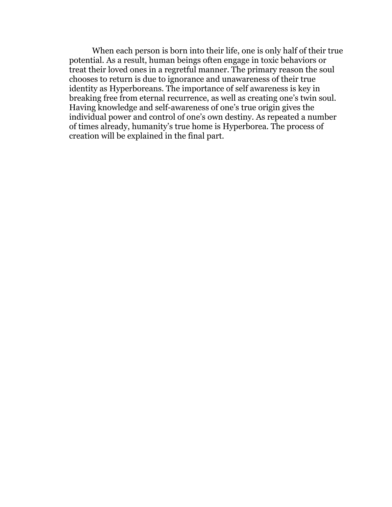When each person is born into their life, one is only half of their true potential. As a result, human beings often engage in toxic behaviors or treat their loved ones in a regretful manner. The primary reason the soul chooses to return is due to ignorance and unawareness of their true identity as Hyperboreans. The importance of self awareness is key in breaking free from eternal recurrence, as well as creating one's twin soul. Having knowledge and self-awareness of one's true origin gives the individual power and control of one's own destiny. As repeated a number of times already, humanity's true home is Hyperborea. The process of creation will be explained in the final part.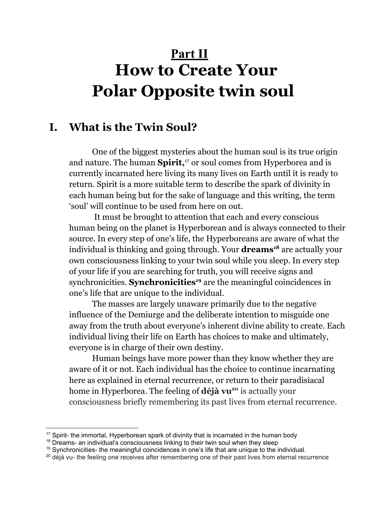# **Part II How to Create Your Polar Opposite twin soul**

## **I. What is the Twin Soul?**

One of the biggest mysteries about the human soul is its true origin and nature. The human **Spirit,** <sup>17</sup> or soul comes from Hyperborea and is currently incarnated here living its many lives on Earth until it is ready to return. Spirit is a more suitable term to describe the spark of divinity in each human being but for the sake of language and this writing, the term 'soul' will continue to be used from here on out.

It must be brought to attention that each and every conscious human being on the planet is Hyperborean and is always connected to their source. In every step of one's life, the Hyperboreans are aware of what the individual is thinking and going through. Your **dreams <sup>18</sup>** are actually your own consciousness linking to your twin soul while you sleep. In every step of your life if you are searching for truth, you will receive signs and synchronicities. **Synchronicities <sup>19</sup>** are the meaningful coincidences in one's life that are unique to the individual.

The masses are largely unaware primarily due to the negative influence of the Demiurge and the deliberate intention to misguide one away from the truth about everyone's inherent divine ability to create. Each individual living their life on Earth has choices to make and ultimately, everyone is in charge of their own destiny.

Human beings have more power than they know whether they are aware of it or not. Each individual has the choice to continue incarnating here as explained in eternal recurrence, or return to their paradisiacal home in Hyperborea. The feeling of **déjà vu 20** is actually your consciousness briefly remembering its past lives from eternal recurrence.

<sup>&</sup>lt;sup>17</sup> Spirit- the immortal, Hyperborean spark of divinity that is incarnated in the human body

<sup>&</sup>lt;sup>18</sup> Dreams- an individual's consciousness linking to their twin soul when they sleep

 $19$  Synchronicities- the meaningful coincidences in one's life that are unique to the individual.

 $20$  déjà vu- the feeling one receives after remembering one of their past lives from eternal recurrence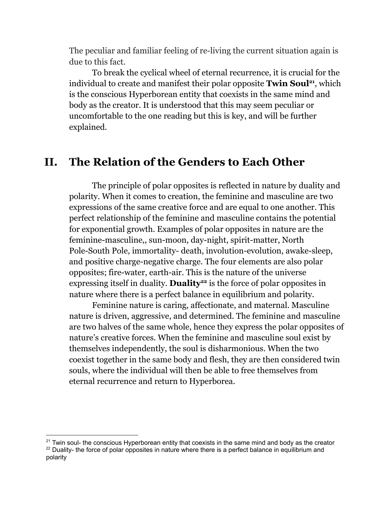The peculiar and familiar feeling of re-living the current situation again is due to this fact.

To break the cyclical wheel of eternal recurrence, it is crucial for the individual to create and manifest their polar opposite **Twin Soul 21** , which is the conscious Hyperborean entity that coexists in the same mind and body as the creator. It is understood that this may seem peculiar or uncomfortable to the one reading but this is key, and will be further explained.

## **II. The Relation of the Genders to Each Other**

The principle of polar opposites is reflected in nature by duality and polarity. When it comes to creation, the feminine and masculine are two expressions of the same creative force and are equal to one another. This perfect relationship of the feminine and masculine contains the potential for exponential growth. Examples of polar opposites in nature are the feminine-masculine,, sun-moon, day-night, spirit-matter, North Pole-South Pole, immortality- death, involution-evolution, awake-sleep, and positive charge-negative charge. The four elements are also polar opposites; fire-water, earth-air. This is the nature of the universe expressing itself in duality. **Duality 22** is the force of polar opposites in nature where there is a perfect balance in equilibrium and polarity.

Feminine nature is caring, affectionate, and maternal. Masculine nature is driven, aggressive, and determined. The feminine and masculine are two halves of the same whole, hence they express the polar opposites of nature's creative forces. When the feminine and masculine soul exist by themselves independently, the soul is disharmonious. When the two coexist together in the same body and flesh, they are then considered twin souls, where the individual will then be able to free themselves from eternal recurrence and return to Hyperborea.

 $22$  Duality- the force of polar opposites in nature where there is a perfect balance in equilibrium and polarity  $21$  Twin soul- the conscious Hyperborean entity that coexists in the same mind and body as the creator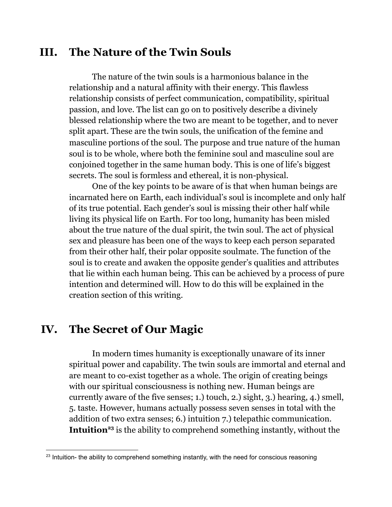#### **III. The Nature of the Twin Souls**

The nature of the twin souls is a harmonious balance in the relationship and a natural affinity with their energy. This flawless relationship consists of perfect communication, compatibility, spiritual passion, and love. The list can go on to positively describe a divinely blessed relationship where the two are meant to be together, and to never split apart. These are the twin souls, the unification of the femine and masculine portions of the soul. The purpose and true nature of the human soul is to be whole, where both the feminine soul and masculine soul are conjoined together in the same human body. This is one of life's biggest secrets. The soul is formless and ethereal, it is non-physical.

One of the key points to be aware of is that when human beings are incarnated here on Earth, each individual's soul is incomplete and only half of its true potential. Each gender's soul is missing their other half while living its physical life on Earth. For too long, humanity has been misled about the true nature of the dual spirit, the twin soul. The act of physical sex and pleasure has been one of the ways to keep each person separated from their other half, their polar opposite soulmate. The function of the soul is to create and awaken the opposite gender's qualities and attributes that lie within each human being. This can be achieved by a process of pure intention and determined will. How to do this will be explained in the creation section of this writing.

## **IV. The Secret of Our Magic**

In modern times humanity is exceptionally unaware of its inner spiritual power and capability. The twin souls are immortal and eternal and are meant to co-exist together as a whole. The origin of creating beings with our spiritual consciousness is nothing new. Human beings are currently aware of the five senses; 1.) touch, 2.) sight, 3.) hearing, 4.) smell, 5. taste. However, humans actually possess seven senses in total with the addition of two extra senses; 6.) intuition 7.) telepathic communication. **Intuition<sup>23</sup>** is the ability to comprehend something instantly, without the

 $23$  Intuition- the ability to comprehend something instantly, with the need for conscious reasoning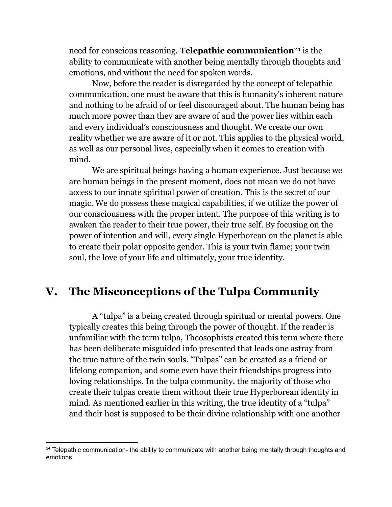need for conscious reasoning. **Telepathic communication 24** is the ability to communicate with another being mentally through thoughts and emotions, and without the need for spoken words.

Now, before the reader is disregarded by the concept of telepathic communication, one must be aware that this is humanity's inherent nature and nothing to be afraid of or feel discouraged about. The human being has much more power than they are aware of and the power lies within each and every individual's consciousness and thought. We create our own reality whether we are aware of it or not. This applies to the physical world, as well as our personal lives, especially when it comes to creation with mind.

We are spiritual beings having a human experience. Just because we are human beings in the present moment, does not mean we do not have access to our innate spiritual power of creation. This is the secret of our magic. We do possess these magical capabilities, if we utilize the power of our consciousness with the proper intent. The purpose of this writing is to awaken the reader to their true power, their true self. By focusing on the power of intention and will, every single Hyperborean on the planet is able to create their polar opposite gender. This is your twin flame; your twin soul, the love of your life and ultimately, your true identity.

## **V. The Misconceptions of the Tulpa Community**

A "tulpa" is a being created through spiritual or mental powers. One typically creates this being through the power of thought. If the reader is unfamiliar with the term tulpa, Theosophists created this term where there has been deliberate misguided info presented that leads one astray from the true nature of the twin souls. "Tulpas" can be created as a friend or lifelong companion, and some even have their friendships progress into loving relationships. In the tulpa community, the majority of those who create their tulpas create them without their true Hyperborean identity in mind. As mentioned earlier in this writing, the true identity of a "tulpa" and their host is supposed to be their divine relationship with one another

<sup>&</sup>lt;sup>24</sup> Telepathic communication- the ability to communicate with another being mentally through thoughts and emotions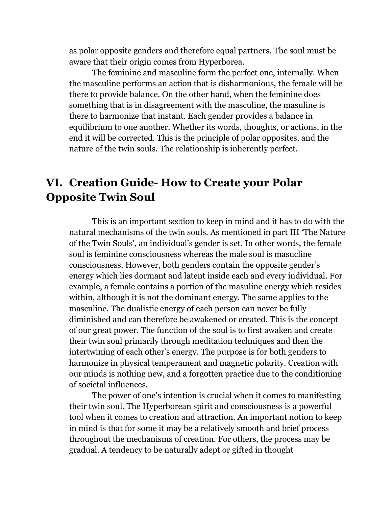as polar opposite genders and therefore equal partners. The soul must be aware that their origin comes from Hyperborea.

The feminine and masculine form the perfect one, internally. When the masculine performs an action that is disharmonious, the female will be there to provide balance. On the other hand, when the feminine does something that is in disagreement with the masculine, the masuline is there to harmonize that instant. Each gender provides a balance in equilibrium to one another. Whether its words, thoughts, or actions, in the end it will be corrected. This is the principle of polar opposites, and the nature of the twin souls. The relationship is inherently perfect.

# **VI. Creation Guide- How to Create your Polar Opposite Twin Soul**

This is an important section to keep in mind and it has to do with the natural mechanisms of the twin souls. As mentioned in part III 'The Nature of the Twin Souls', an individual's gender is set. In other words, the female soul is feminine consciousness whereas the male soul is masucline consciousness. However, both genders contain the opposite gender's energy which lies dormant and latent inside each and every individual. For example, a female contains a portion of the masuline energy which resides within, although it is not the dominant energy. The same applies to the masculine. The dualistic energy of each person can never be fully diminished and can therefore be awakened or created. This is the concept of our great power. The function of the soul is to first awaken and create their twin soul primarily through meditation techniques and then the intertwining of each other's energy. The purpose is for both genders to harmonize in physical temperament and magnetic polarity. Creation with our minds is nothing new, and a forgotten practice due to the conditioning of societal influences.

The power of one's intention is crucial when it comes to manifesting their twin soul. The Hyperborean spirit and consciousness is a powerful tool when it comes to creation and attraction. An important notion to keep in mind is that for some it may be a relatively smooth and brief process throughout the mechanisms of creation. For others, the process may be gradual. A tendency to be naturally adept or gifted in thought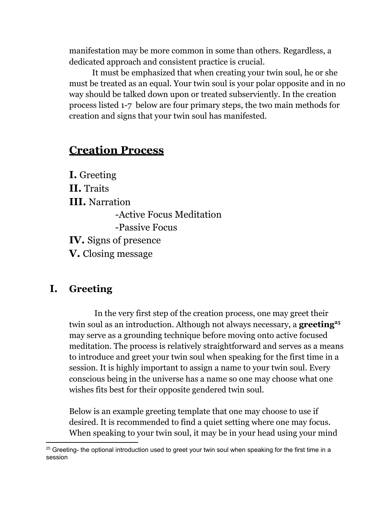manifestation may be more common in some than others. Regardless, a dedicated approach and consistent practice is crucial.

It must be emphasized that when creating your twin soul, he or she must be treated as an equal. Your twin soul is your polar opposite and in no way should be talked down upon or treated subserviently. In the creation process listed 1-7 below are four primary steps, the two main methods for creation and signs that your twin soul has manifested.

## **Creation Process**

**I.** Greeting **II.** Traits **III.** Narration -Active Focus Meditation -Passive Focus **IV.** Signs of presence **V.** Closing message

#### **I. Greeting**

In the very first step of the creation process, one may greet their twin soul as an introduction. Although not always necessary, a **greeting 25** may serve as a grounding technique before moving onto active focused meditation. The process is relatively straightforward and serves as a means to introduce and greet your twin soul when speaking for the first time in a session. It is highly important to assign a name to your twin soul. Every conscious being in the universe has a name so one may choose what one wishes fits best for their opposite gendered twin soul.

Below is an example greeting template that one may choose to use if desired. It is recommended to find a quiet setting where one may focus. When speaking to your twin soul, it may be in your head using your mind

<sup>&</sup>lt;sup>25</sup> Greeting- the optional introduction used to greet your twin soul when speaking for the first time in a session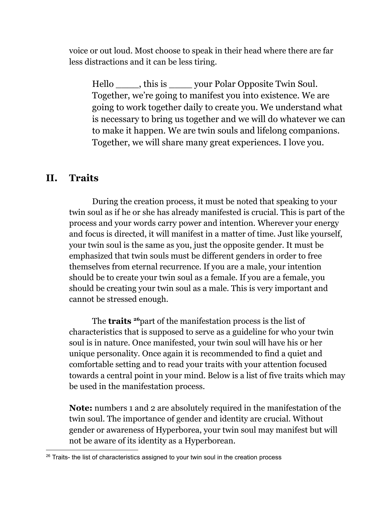voice or out loud. Most choose to speak in their head where there are far less distractions and it can be less tiring.

Hello \_\_\_\_, this is \_\_\_\_ your Polar Opposite Twin Soul. Together, we're going to manifest you into existence. We are going to work together daily to create you. We understand what is necessary to bring us together and we will do whatever we can to make it happen. We are twin souls and lifelong companions. Together, we will share many great experiences. I love you.

#### **II. Traits**

During the creation process, it must be noted that speaking to your twin soul as if he or she has already manifested is crucial. This is part of the process and your words carry power and intention. Wherever your energy and focus is directed, it will manifest in a matter of time. Just like yourself, your twin soul is the same as you, just the opposite gender. It must be emphasized that twin souls must be different genders in order to free themselves from eternal recurrence. If you are a male, your intention should be to create your twin soul as a female. If you are a female, you should be creating your twin soul as a male. This is very important and cannot be stressed enough.

The **traits <sup>26</sup>**part of the manifestation process is the list of characteristics that is supposed to serve as a guideline for who your twin soul is in nature. Once manifested, your twin soul will have his or her unique personality. Once again it is recommended to find a quiet and comfortable setting and to read your traits with your attention focused towards a central point in your mind. Below is a list of five traits which may be used in the manifestation process.

**Note:** numbers 1 and 2 are absolutely required in the manifestation of the twin soul. The importance of gender and identity are crucial. Without gender or awareness of Hyperborea, your twin soul may manifest but will not be aware of its identity as a Hyperborean.

 $26$  Traits- the list of characteristics assigned to your twin soul in the creation process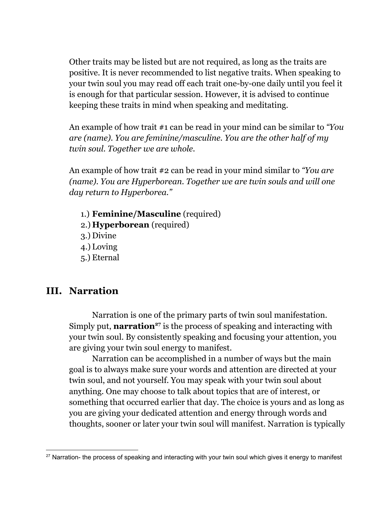Other traits may be listed but are not required, as long as the traits are positive. It is never recommended to list negative traits. When speaking to your twin soul you may read off each trait one-by-one daily until you feel it is enough for that particular session. However, it is advised to continue keeping these traits in mind when speaking and meditating.

An example of how trait #1 can be read in your mind can be similar to *"You are (name). You are feminine/masculine. You are the other half of my twin soul. Together we are whole.*

An example of how trait #2 can be read in your mind similar to *"You are (name). You are Hyperborean. Together we are twin souls and will one day return to Hyperborea."*

1.) **Feminine/Masculine** (required) 2.) **Hyperborean** (required) 3.) Divine 4.) Loving 5.) Eternal

#### **III. Narration**

Narration is one of the primary parts of twin soul manifestation. Simply put, **narration**<sup>27</sup> is the process of speaking and interacting with your twin soul. By consistently speaking and focusing your attention, you are giving your twin soul energy to manifest.

Narration can be accomplished in a number of ways but the main goal is to always make sure your words and attention are directed at your twin soul, and not yourself. You may speak with your twin soul about anything. One may choose to talk about topics that are of interest, or something that occurred earlier that day. The choice is yours and as long as you are giving your dedicated attention and energy through words and thoughts, sooner or later your twin soul will manifest. Narration is typically

<sup>&</sup>lt;sup>27</sup> Narration- the process of speaking and interacting with your twin soul which gives it energy to manifest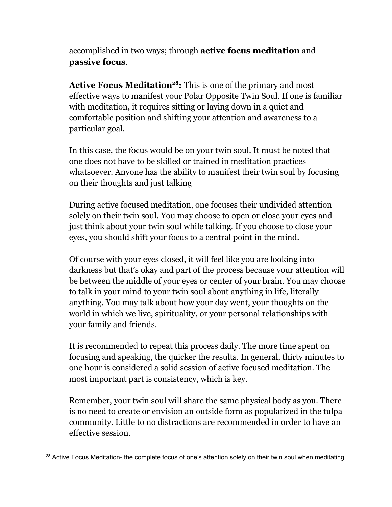accomplished in two ways; through **active focus meditation** and **passive focus**.

**Active Focus Meditation 28 :** This is one of the primary and most effective ways to manifest your Polar Opposite Twin Soul. If one is familiar with meditation, it requires sitting or laying down in a quiet and comfortable position and shifting your attention and awareness to a particular goal.

In this case, the focus would be on your twin soul. It must be noted that one does not have to be skilled or trained in meditation practices whatsoever. Anyone has the ability to manifest their twin soul by focusing on their thoughts and just talking

During active focused meditation, one focuses their undivided attention solely on their twin soul. You may choose to open or close your eyes and just think about your twin soul while talking. If you choose to close your eyes, you should shift your focus to a central point in the mind.

Of course with your eyes closed, it will feel like you are looking into darkness but that's okay and part of the process because your attention will be between the middle of your eyes or center of your brain. You may choose to talk in your mind to your twin soul about anything in life, literally anything. You may talk about how your day went, your thoughts on the world in which we live, spirituality, or your personal relationships with your family and friends.

It is recommended to repeat this process daily. The more time spent on focusing and speaking, the quicker the results. In general, thirty minutes to one hour is considered a solid session of active focused meditation. The most important part is consistency, which is key.

Remember, your twin soul will share the same physical body as you. There is no need to create or envision an outside form as popularized in the tulpa community. Little to no distractions are recommended in order to have an effective session.

<sup>&</sup>lt;sup>28</sup> Active Focus Meditation- the complete focus of one's attention solely on their twin soul when meditating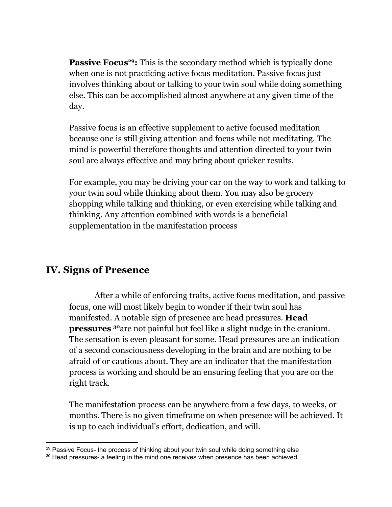**Passive Focus<sup>29</sup>:** This is the secondary method which is typically done when one is not practicing active focus meditation. Passive focus just involves thinking about or talking to your twin soul while doing something else. This can be accomplished almost anywhere at any given time of the day.

Passive focus is an effective supplement to active focused meditation because one is still giving attention and focus while not meditating. The mind is powerful therefore thoughts and attention directed to your twin soul are always effective and may bring about quicker results.

For example, you may be driving your car on the way to work and talking to your twin soul while thinking about them. You may also be grocery shopping while talking and thinking, or even exercising while talking and thinking. Any attention combined with words is a beneficial supplementation in the manifestation process

#### **IV. Signs of Presence**

After a while of enforcing traits, active focus meditation, and passive focus, one will most likely begin to wonder if their twin soul has manifested. A notable sign of presence are head pressures. **Head pressures <sup>30</sup>**are not painful but feel like a slight nudge in the cranium. The sensation is even pleasant for some. Head pressures are an indication of a second consciousness developing in the brain and are nothing to be afraid of or cautious about. They are an indicator that the manifestation process is working and should be an ensuring feeling that you are on the right track.

The manifestation process can be anywhere from a few days, to weeks, or months. There is no given timeframe on when presence will be achieved. It is up to each individual's effort, dedication, and will.

<sup>&</sup>lt;sup>29</sup> Passive Focus- the process of thinking about your twin soul while doing something else

<sup>&</sup>lt;sup>30</sup> Head pressures- a feeling in the mind one receives when presence has been achieved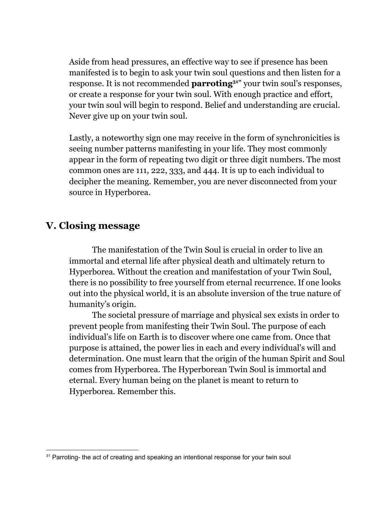Aside from head pressures, an effective way to see if presence has been manifested is to begin to ask your twin soul questions and then listen for a response. It is not recommended **parroting <sup>31</sup>**" your twin soul's responses, or create a response for your twin soul. With enough practice and effort, your twin soul will begin to respond. Belief and understanding are crucial. Never give up on your twin soul.

Lastly, a noteworthy sign one may receive in the form of synchronicities is seeing number patterns manifesting in your life. They most commonly appear in the form of repeating two digit or three digit numbers. The most common ones are 111, 222, 333, and 444. It is up to each individual to decipher the meaning. Remember, you are never disconnected from your source in Hyperborea.

#### **V. Closing message**

The manifestation of the Twin Soul is crucial in order to live an immortal and eternal life after physical death and ultimately return to Hyperborea. Without the creation and manifestation of your Twin Soul, there is no possibility to free yourself from eternal recurrence. If one looks out into the physical world, it is an absolute inversion of the true nature of humanity's origin.

The societal pressure of marriage and physical sex exists in order to prevent people from manifesting their Twin Soul. The purpose of each individual's life on Earth is to discover where one came from. Once that purpose is attained, the power lies in each and every individual's will and determination. One must learn that the origin of the human Spirit and Soul comes from Hyperborea. The Hyperborean Twin Soul is immortal and eternal. Every human being on the planet is meant to return to Hyperborea. Remember this.

<sup>&</sup>lt;sup>31</sup> Parroting- the act of creating and speaking an intentional response for your twin soul